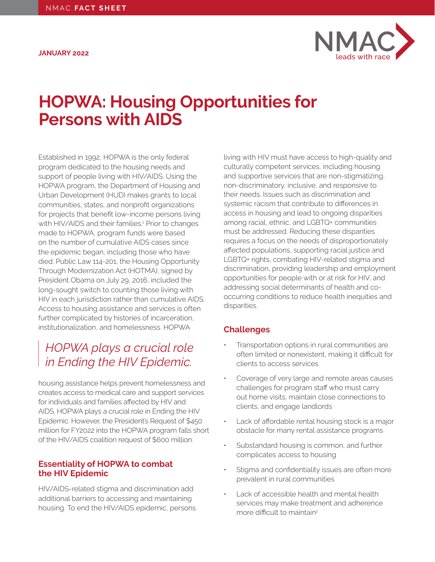<span id="page-0-0"></span>**JANUARY 2022**



# **HOPWA: Housing Opportunities for Persons with AIDS**

Established in 1992, HOPWA is the only federal program dedicated to the housing needs and support of people living with HIV/AIDS. Using the HOPWA program, the Department of Housing and Urban Development (HUD) makes grants to local communities, states, and nonprofit organizations for projects that benefit low-income persons living with HIV/AIDS and their families.<sup>1</sup> Prior to changes made to HOPWA, program funds were based on the number of cumulative AIDS cases since the epidemic began, including those who have died. Public Law 114-201, the Housing Opportunity Through Modernization Act (HOTMA), signed by President Obama on July 29, 2016, included the long-sought switch to counting those living with HIV in each jurisdiction rather than cumulative AIDS. Access to housing assistance and services is often further complicated by histories of incarceration, institutionalization, and homelessness. HOPWA

# *HOPWA plays a crucial role in Ending the HIV Epidemic.*

housing assistance helps prevent homelessness and creates access to medical care and support services for individuals and families affected by HIV and AIDS. HOPWA plays a crucial role in Ending the HIV Epidemic. However, the President's Request of \$450 million for FY2022 into the HOPWA program falls short of the HIV/AIDS coalition request of \$600 million.

## **Essentiality of HOPWA to combat the HIV Epidemic**

HIV/AIDS-related stigma and discrimination add additional barriers to accessing and maintaining housing. To end the HIV/AIDS epidemic, persons living with HIV must have access to high-quality and culturally competent services, including housing and supportive services that are non-stigmatizing, non-discriminatory, inclusive, and responsive to their needs. Issues such as discrimination and systemic racism that contribute to differences in access in housing and lead to ongoing disparities among racial, ethnic, and LGBTQ+ communities must be addressed. Reducing these disparities requires a focus on the needs of disproportionately affected populations, supporting racial justice and LGBTQ+ rights, combating HIV-related stigma and discrimination, providing leadership and employment opportunities for people with or at risk for HIV, and addressing social determinants of health and cooccurring conditions to reduce health inequities and disparities.

# **Challenges**

- Transportation options in rural communities are often limited or nonexistent, making it difficult for clients to access services
- Coverage of very large and remote areas causes challenges for program staff who must carry out home visits, maintain close connections to clients, and engage landlords
- Lack of affordable rental housing stock is a major obstacle for many rental assistance programs
- Substandard housing is common, and further complicates access to housing
- Stigma and confidentiality issues are often more prevalent in rural communities
- Lack of accessible health and mental health services may make treatment and adherence more difficult to maintain<sup>[2](#page-1-0)</sup>